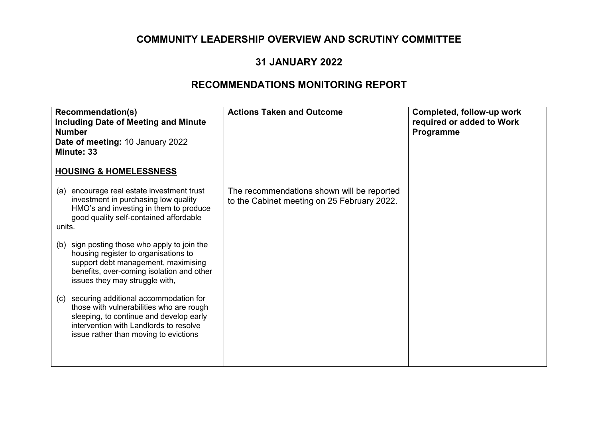#### **31 JANUARY 2022**

| <b>Recommendation(s)</b><br><b>Including Date of Meeting and Minute</b><br><b>Number</b>                                                                                                                               | <b>Actions Taken and Outcome</b>                                                          | Completed, follow-up work<br>required or added to Work<br>Programme |
|------------------------------------------------------------------------------------------------------------------------------------------------------------------------------------------------------------------------|-------------------------------------------------------------------------------------------|---------------------------------------------------------------------|
| Date of meeting: 10 January 2022<br><b>Minute: 33</b>                                                                                                                                                                  |                                                                                           |                                                                     |
| <b>HOUSING &amp; HOMELESSNESS</b>                                                                                                                                                                                      |                                                                                           |                                                                     |
| encourage real estate investment trust<br>(a)<br>investment in purchasing low quality<br>HMO's and investing in them to produce<br>good quality self-contained affordable                                              | The recommendations shown will be reported<br>to the Cabinet meeting on 25 February 2022. |                                                                     |
| units.                                                                                                                                                                                                                 |                                                                                           |                                                                     |
| sign posting those who apply to join the<br>(b)<br>housing register to organisations to<br>support debt management, maximising<br>benefits, over-coming isolation and other<br>issues they may struggle with,          |                                                                                           |                                                                     |
| securing additional accommodation for<br>(c)<br>those with vulnerabilities who are rough<br>sleeping, to continue and develop early<br>intervention with Landlords to resolve<br>issue rather than moving to evictions |                                                                                           |                                                                     |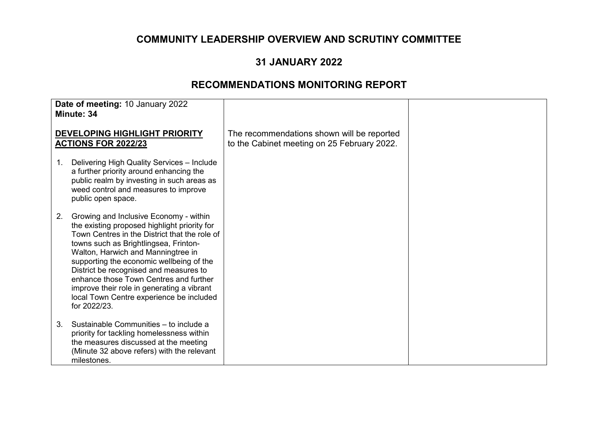### **31 JANUARY 2022**

| Date of meeting: 10 January 2022<br>Minute: 34                     |                                                                                                                                                                                                                                                                                                                                                                                                                                                                  |                                                                                           |  |
|--------------------------------------------------------------------|------------------------------------------------------------------------------------------------------------------------------------------------------------------------------------------------------------------------------------------------------------------------------------------------------------------------------------------------------------------------------------------------------------------------------------------------------------------|-------------------------------------------------------------------------------------------|--|
| <b>DEVELOPING HIGHLIGHT PRIORITY</b><br><b>ACTIONS FOR 2022/23</b> |                                                                                                                                                                                                                                                                                                                                                                                                                                                                  | The recommendations shown will be reported<br>to the Cabinet meeting on 25 February 2022. |  |
| 1.                                                                 | Delivering High Quality Services - Include<br>a further priority around enhancing the<br>public realm by investing in such areas as<br>weed control and measures to improve<br>public open space.                                                                                                                                                                                                                                                                |                                                                                           |  |
| 2.                                                                 | Growing and Inclusive Economy - within<br>the existing proposed highlight priority for<br>Town Centres in the District that the role of<br>towns such as Brightlingsea, Frinton-<br>Walton, Harwich and Manningtree in<br>supporting the economic wellbeing of the<br>District be recognised and measures to<br>enhance those Town Centres and further<br>improve their role in generating a vibrant<br>local Town Centre experience be included<br>for 2022/23. |                                                                                           |  |
| 3.                                                                 | Sustainable Communities - to include a<br>priority for tackling homelessness within<br>the measures discussed at the meeting<br>(Minute 32 above refers) with the relevant<br>milestones.                                                                                                                                                                                                                                                                        |                                                                                           |  |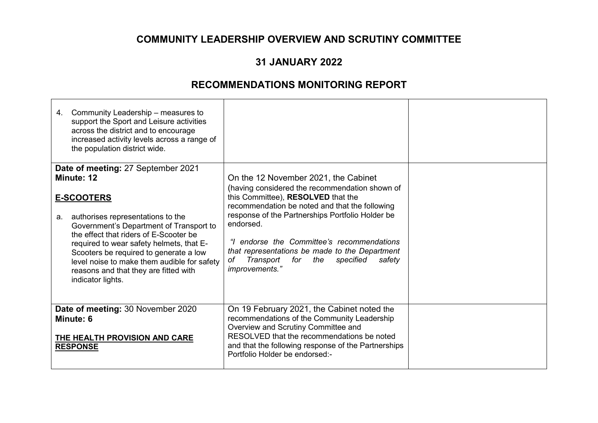### **31 JANUARY 2022**

| Community Leadership – measures to<br>4.<br>support the Sport and Leisure activities<br>across the district and to encourage<br>increased activity levels across a range of<br>the population district wide.                                                                                                                                                       |                                                                                                                                                                                                                                                                                                                                                                                                                              |  |
|--------------------------------------------------------------------------------------------------------------------------------------------------------------------------------------------------------------------------------------------------------------------------------------------------------------------------------------------------------------------|------------------------------------------------------------------------------------------------------------------------------------------------------------------------------------------------------------------------------------------------------------------------------------------------------------------------------------------------------------------------------------------------------------------------------|--|
| Date of meeting: 27 September 2021                                                                                                                                                                                                                                                                                                                                 |                                                                                                                                                                                                                                                                                                                                                                                                                              |  |
| Minute: 12<br><b>E-SCOOTERS</b><br>authorises representations to the<br>а.<br>Government's Department of Transport to<br>the effect that riders of E-Scooter be<br>required to wear safety helmets, that E-<br>Scooters be required to generate a low<br>level noise to make them audible for safety<br>reasons and that they are fitted with<br>indicator lights. | On the 12 November 2021, the Cabinet<br>(having considered the recommendation shown of<br>this Committee), RESOLVED that the<br>recommendation be noted and that the following<br>response of the Partnerships Portfolio Holder be<br>endorsed.<br>endorse the Committee's recommendations<br>"L<br>that representations be made to the Department<br>Transport<br>for<br>specified<br>safety<br>оf<br>the<br>improvements." |  |
| Date of meeting: 30 November 2020<br>Minute: 6<br><b>THE HEALTH PROVISION AND CARE</b><br><b>RESPONSE</b>                                                                                                                                                                                                                                                          | On 19 February 2021, the Cabinet noted the<br>recommendations of the Community Leadership<br>Overview and Scrutiny Committee and<br>RESOLVED that the recommendations be noted<br>and that the following response of the Partnerships<br>Portfolio Holder be endorsed:-                                                                                                                                                      |  |